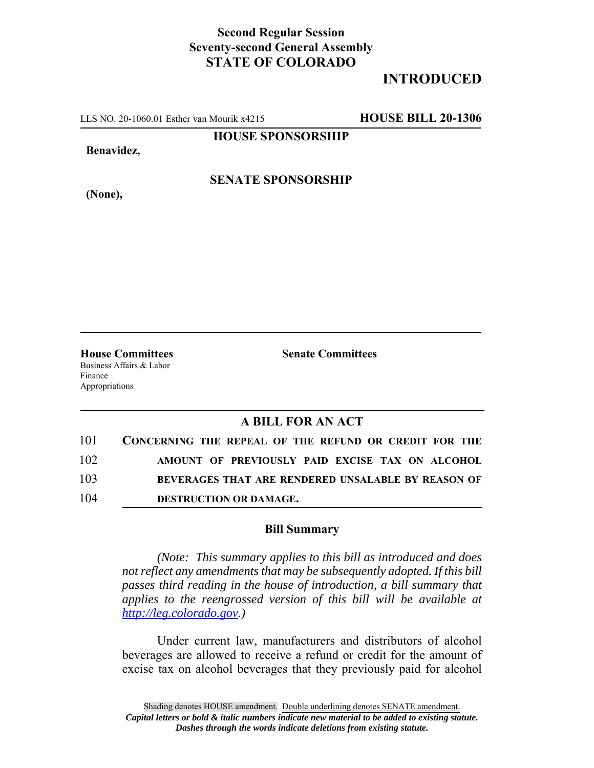## **Second Regular Session Seventy-second General Assembly STATE OF COLORADO**

# **INTRODUCED**

LLS NO. 20-1060.01 Esther van Mourik x4215 **HOUSE BILL 20-1306**

**HOUSE SPONSORSHIP**

**Benavidez,**

**(None),**

### **SENATE SPONSORSHIP**

**House Committees Senate Committees** Business Affairs & Labor Finance Appropriations

#### **A BILL FOR AN ACT**

| 101 | CONCERNING THE REPEAL OF THE REFUND OR CREDIT FOR THE |
|-----|-------------------------------------------------------|
| 102 | AMOUNT OF PREVIOUSLY PAID EXCISE TAX ON ALCOHOL       |
| 103 | BEVERAGES THAT ARE RENDERED UNSALABLE BY REASON OF    |
| 104 | DESTRUCTION OR DAMAGE.                                |

#### **Bill Summary**

*(Note: This summary applies to this bill as introduced and does not reflect any amendments that may be subsequently adopted. If this bill passes third reading in the house of introduction, a bill summary that applies to the reengrossed version of this bill will be available at http://leg.colorado.gov.)*

Under current law, manufacturers and distributors of alcohol beverages are allowed to receive a refund or credit for the amount of excise tax on alcohol beverages that they previously paid for alcohol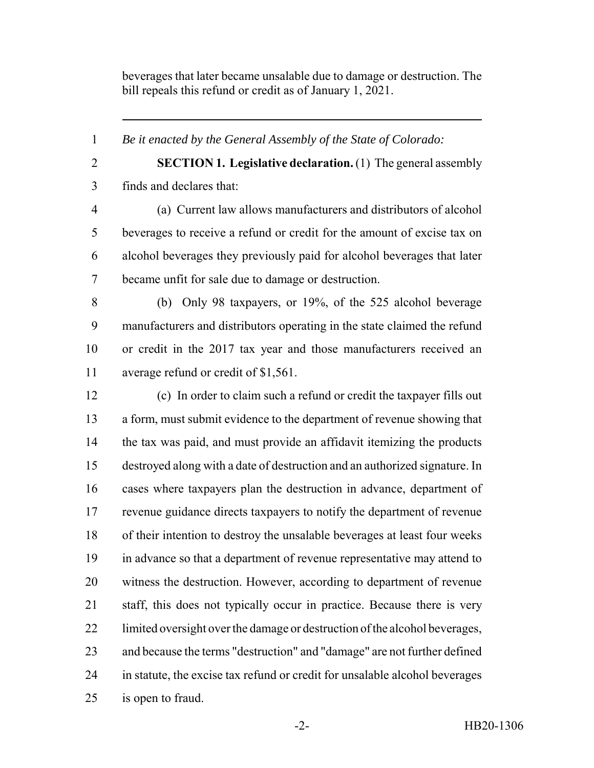beverages that later became unsalable due to damage or destruction. The bill repeals this refund or credit as of January 1, 2021.

*Be it enacted by the General Assembly of the State of Colorado:*

**SECTION 1. Legislative declaration.** (1) The general assembly

finds and declares that:

 (a) Current law allows manufacturers and distributors of alcohol beverages to receive a refund or credit for the amount of excise tax on alcohol beverages they previously paid for alcohol beverages that later became unfit for sale due to damage or destruction.

 (b) Only 98 taxpayers, or 19%, of the 525 alcohol beverage manufacturers and distributors operating in the state claimed the refund or credit in the 2017 tax year and those manufacturers received an average refund or credit of \$1,561.

 (c) In order to claim such a refund or credit the taxpayer fills out a form, must submit evidence to the department of revenue showing that the tax was paid, and must provide an affidavit itemizing the products destroyed along with a date of destruction and an authorized signature. In cases where taxpayers plan the destruction in advance, department of revenue guidance directs taxpayers to notify the department of revenue of their intention to destroy the unsalable beverages at least four weeks in advance so that a department of revenue representative may attend to witness the destruction. However, according to department of revenue staff, this does not typically occur in practice. Because there is very limited oversight over the damage or destruction of the alcohol beverages, and because the terms "destruction" and "damage" are not further defined in statute, the excise tax refund or credit for unsalable alcohol beverages is open to fraud.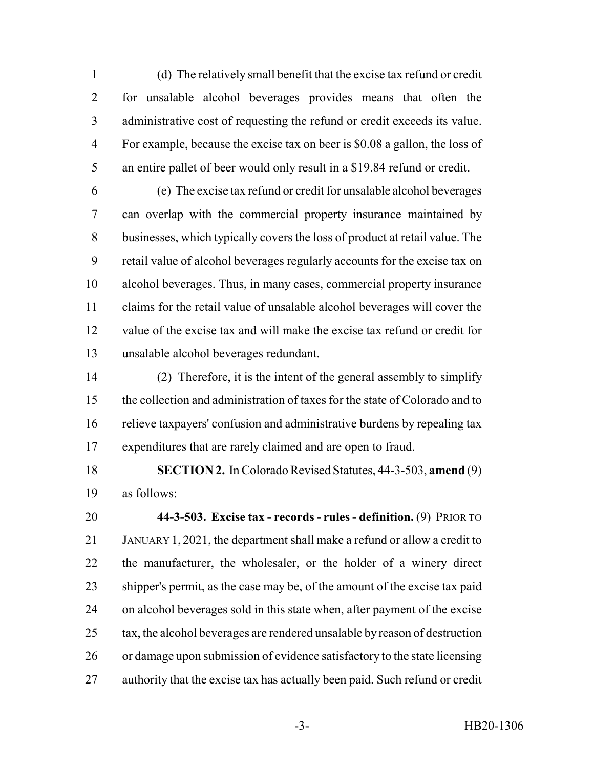(d) The relatively small benefit that the excise tax refund or credit for unsalable alcohol beverages provides means that often the administrative cost of requesting the refund or credit exceeds its value. For example, because the excise tax on beer is \$0.08 a gallon, the loss of an entire pallet of beer would only result in a \$19.84 refund or credit.

 (e) The excise tax refund or credit for unsalable alcohol beverages can overlap with the commercial property insurance maintained by businesses, which typically covers the loss of product at retail value. The retail value of alcohol beverages regularly accounts for the excise tax on alcohol beverages. Thus, in many cases, commercial property insurance claims for the retail value of unsalable alcohol beverages will cover the value of the excise tax and will make the excise tax refund or credit for unsalable alcohol beverages redundant.

 (2) Therefore, it is the intent of the general assembly to simplify the collection and administration of taxes for the state of Colorado and to relieve taxpayers' confusion and administrative burdens by repealing tax expenditures that are rarely claimed and are open to fraud.

 **SECTION 2.** In Colorado Revised Statutes, 44-3-503, **amend** (9) as follows:

 **44-3-503. Excise tax - records - rules - definition.** (9) PRIOR TO JANUARY 1, 2021, the department shall make a refund or allow a credit to the manufacturer, the wholesaler, or the holder of a winery direct shipper's permit, as the case may be, of the amount of the excise tax paid on alcohol beverages sold in this state when, after payment of the excise tax, the alcohol beverages are rendered unsalable by reason of destruction or damage upon submission of evidence satisfactory to the state licensing authority that the excise tax has actually been paid. Such refund or credit